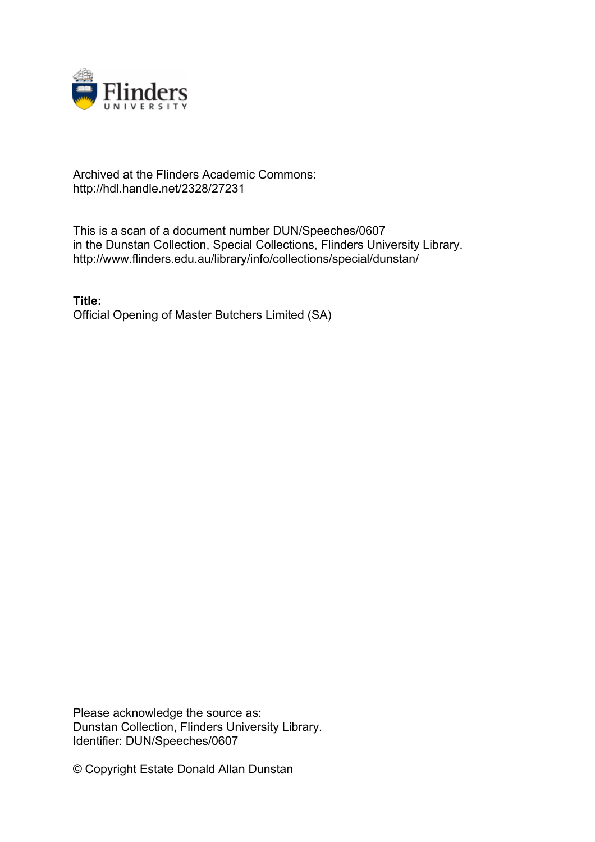

## Archived at the Flinders Academic Commons: http://hdl.handle.net/2328/27231

This is a scan of a document number DUN/Speeches/0607 in the Dunstan Collection, Special Collections, Flinders University Library. http://www.flinders.edu.au/library/info/collections/special/dunstan/

**Title:** Official Opening of Master Butchers Limited (SA)

Please acknowledge the source as: Dunstan Collection, Flinders University Library. Identifier: DUN/Speeches/0607

© Copyright Estate Donald Allan Dunstan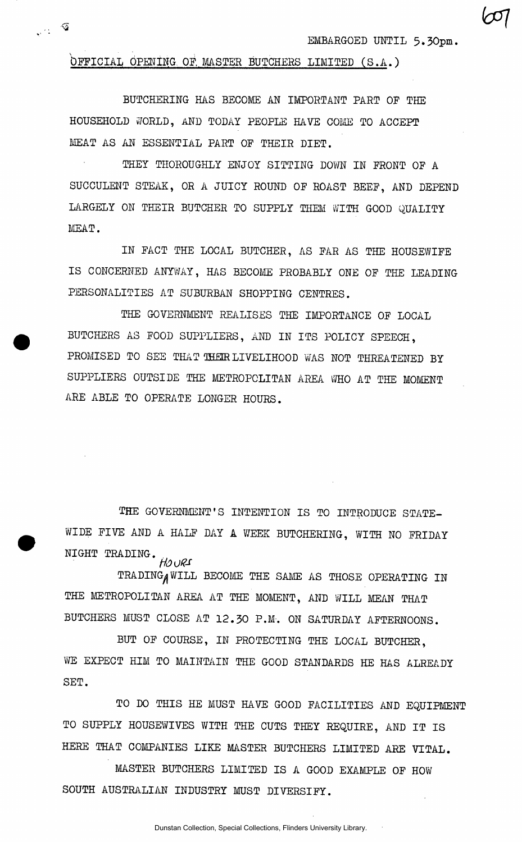EMBARGOED UNTIL 5.30pm.

OFFICIAL OPENING OF, MASTER BUTCHERS LIMITED (S.A.)

 $\mathbf{v} \in \mathbb{R}$ 

BUTCHERING HAS BECOME AN IMPORTANT PART OF THE HOUSEHOLD WORLD, AND TODAY PEOPLE HAVE COME TO ACCEPT MEAT AS AN ESSENTIAL PART OF THEIR DIET.

THEY THOROUGHLY ENJOY SITTING DOWN IN FRONT OF A SUCCULENT STEAK, OR A JUICY ROUND OF ROAST BEEF, AND DEPEND LARGELY ON THEIR BUTCHER TO SUPPLY THEM WITH GOOD QUALITY MEAT.

IN FACT THE LOCAL BUTCHER, AS FAR AS THE HOUSEWIFE IS CONCERNED ANYWAY, HAS BECOME PROBABLY ONE OF THE LEADING PERSONALITIES AT SUBURBAN SHOPPING CENTRES.

THE GOVERNMENT REALISES THE IMPORTANCE OF LOCAL BUTCHERS AS FOOD SUPPLIERS, AND IN ITS POLICY SPEECH, PROMISED TO SEE THAT THEIR LIVELIHOOD WAS NOT THREATENED BY SUPPLIERS OUTSIDE THE METROPOLITAN AREA WHO AT THE MOMENT ARE ABLE TO OPERATE LONGER HOURS.

THE GOVERNMENT'S INTENTION IS TO INTRODUCE STATE-WIDE FIVE AND A HALF DAY A WEEK BUTCHERING, WITH NO FRIDAY NIGHT TRADING. *tfOORS* 

TRADING WILL BECOME THE SAME AS THOSE OPERATING IN THE METROPOLITAN AREA AT THE MOMENT, AND WILL MEAN THAT BUTCHERS MUST CLOSE AT 12.30 P.M-. ON SATURDAY AFTERNOONS.

BUT OF COURSE, IN PROTECTING THE LOCAL BUTCHER, WE EXPECT HIM TO MAINTAIN THE GOOD STANDARDS HE HAS ALREADY SET.

TO DO THIS HE MUST HAVE GOOD FACILITIES AND EQUIPMENT TO SUPPLY HOUSEWIVES WITH THE CUTS THEY REQUIRE, AND IT IS HERE THAT COMPANIES LIKE MASTER BUTCHERS LIMITED ARE VITAL.

MASTER BUTCHERS LIMITED IS A GOOD EXAMPLE OF HOW SOUTH AUSTRALIAN INDUSTRY MUST DIVERSIFY.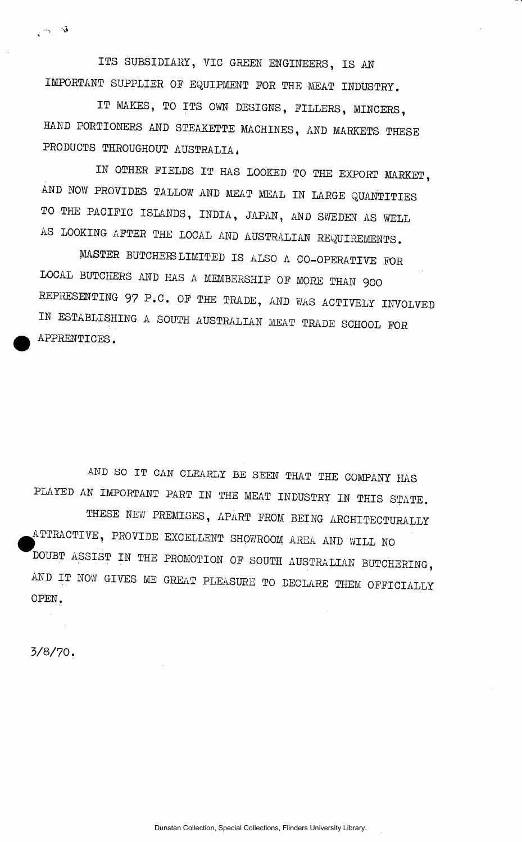ITS SUBSIDIARY, VIC GREEN ENGINEERS, IS AN IMPORTANT SUPPLIER OF EQUIPMENT FOR THE MEAT INDUSTRY.

IT MAKES, TO ITS OWN DESIGNS, FILLERS, MINCERS, HAND PORTIONERS AND STEAKETTE MACHINES, AND MARKETS THESE PRODUCTS THROUGHOUT AUSTRALIA,

IN OTHER FIELDS IT HAS LOOKED TO THE EXPORT MARKET, AND NOW PROVIDES TALLOW AND MEAT MEAL IN LARGE QUANTITIES TO THE PACIFIC ISLANDS, INDIA, JAPAN, AND SWEDEN AS WELL AS LOOKING AFTER THE LOCAL AND AUSTRALIAN REQUIREMENTS.

MASTER BUTCHEES LIMITED IS ALSO A CO-OPERATIVE FOR LOCAL BUTCHERS AND HAS A MEMBERSHIP OF MORE THAN 900 REPRESENTING 97 P.C. OF THE TRADE, AND WAS ACTIVELY INVOLVED IN ESTABLISHING A SOUTH AUSTRALIAN MEAT TRADE SCHOOL FOR APPRENTICES.

AND SO IT CAN CLEARLY BE SEEN THAT THE COMPANY HAS PLAYED AN IMPORTANT PART IN THE MEAT INDUSTRY IN THIS STATE. THESE NEW PREMISES, APART FROM BEING ARCHITECTURALLY ^ATTRACTIVE, PROVIDE EXCELLENT SHOWROOM AREA AND WILL NO DOUBT ASSIST IN THE PROMOTION OF SOUTH AUSTRALIAN BUTCHERING, AND IT NOW GIVES ME GREAT PLEASURE TO DECLARE THEM OFFICIALLY OPEN,

3/8/70.

 $\sqrt{2\pi}$  /3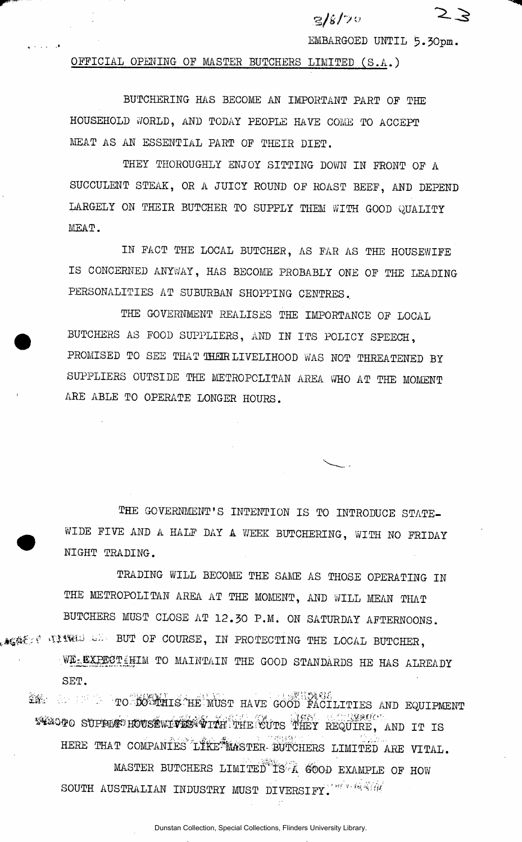*v/k/y'\**  EMBARGOED UNTIL 5.30pm.

OFFICIAL OPENING OF MASTER BUTCHERS LIMITED (S.A.)

BUTCHERING HAS BECOME AN IMPORTANT PART OF THE HOUSEHOLD WORLD, AND TODAY PEOPLE HAVE COME TO ACCEPT MEAT AS AN ESSENTIAL PART OF THEIR DIET.

THEY THOROUGHLY ENJOY SITTING DOWN IN FRONT OF A SUCCULENT STEAK, OR A JUICY ROUND OF ROAST BEEF, AND DEPEND LARGELY ON THEIR BUTCHER TO SUPPLY THEM WITH GOOD QUALITY MEAT.

IN FACT THE LOCAL BUTCHER, AS FAR AS THE HOUSEWIFE IS CONCERNED ANYWAY, HAS BECOME PROBABLY ONE OF THE LEADING PERSONALITIES AT SUBURBAN SHOPPING CENTRES..

THE GOVERNMENT REALISES THE IMPORTANCE OF LOCAL BUTCHERS AS FOOD SUPPLIERS, AND IN ITS POLICY SPEECH, PROMISED TO SEE THAT THEIR LIVELIHOOD WAS NOT THREATENED BY SUPPLIERS OUTSIDE THE METROPOLITAN AREA WHO AT THE MOMENT ARE ABLE TO OPERATE LONGER HOURS.

THE GOVERNMENT'S INTENTION IS TO INTRODUCE STATE-WIDE FIVE AND A HALF DAY A WEEK BUTCHERING, WITH NO FRIDAY NIGHT TRADING.

TRADING WILL BECOME THE SAME AS THOSE OPERATING IN THE METROPOLITAN AREA AT THE MOMENT, AND WILL MEAN THAT BUTCHERS MUST CLOSE AT 12.30 P.M. ON SATURDAY AFTERNOONS. **ACACT TITUL LE BUT OF COURSE, IN PROTECTING THE LOCAL BUTCHER.** 

WE EXPECT HIM TO MAINTAIN THE GOOD STANDARDS HE HAS ALREADY SET.

THE STREET TO BOSTING HE MUST HAVE GOOD FACILITIES AND EQUIPMENT WEACTO SUPPLAT HOUSEWITTEN THE CUTS THEY REQUIRE, AND IT IS HERE THAT COMPANIES LIKE MASTER-BUTCHERS LIMITED ARE VITAL. MASTER BUTCHERS LIMITED IS A GOOD EXAMPLE OF HOW SOUTH AUSTRALIAN INDUSTRY MUST DIVERSIFY. THE REALLY